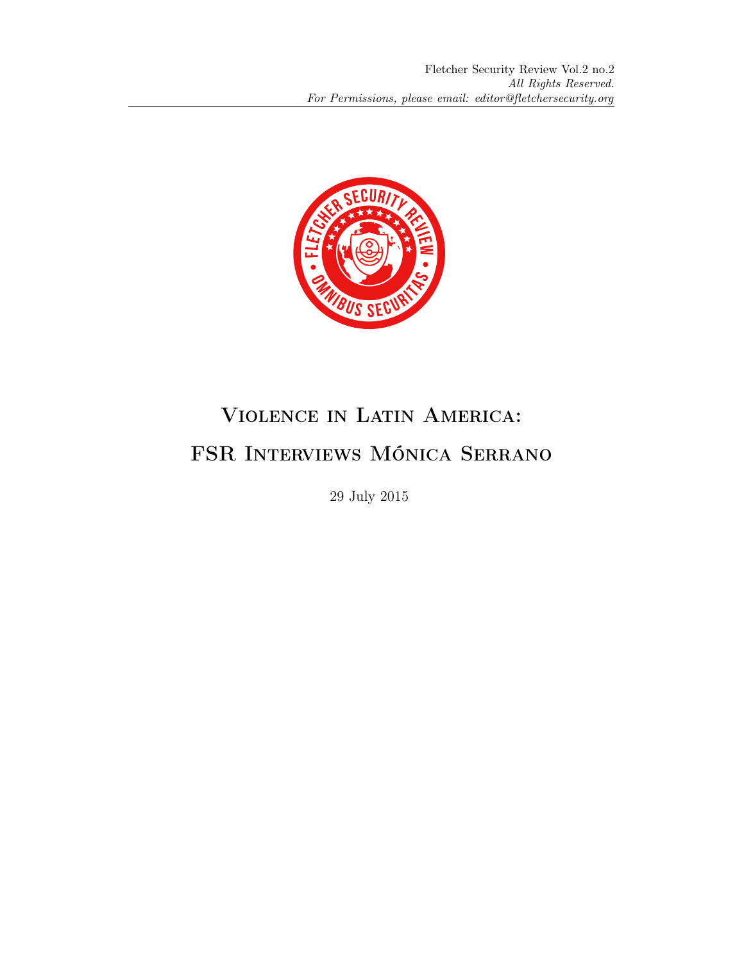

## Violence in Latin America: FSR Interviews Mónica Serrano

29 July 2015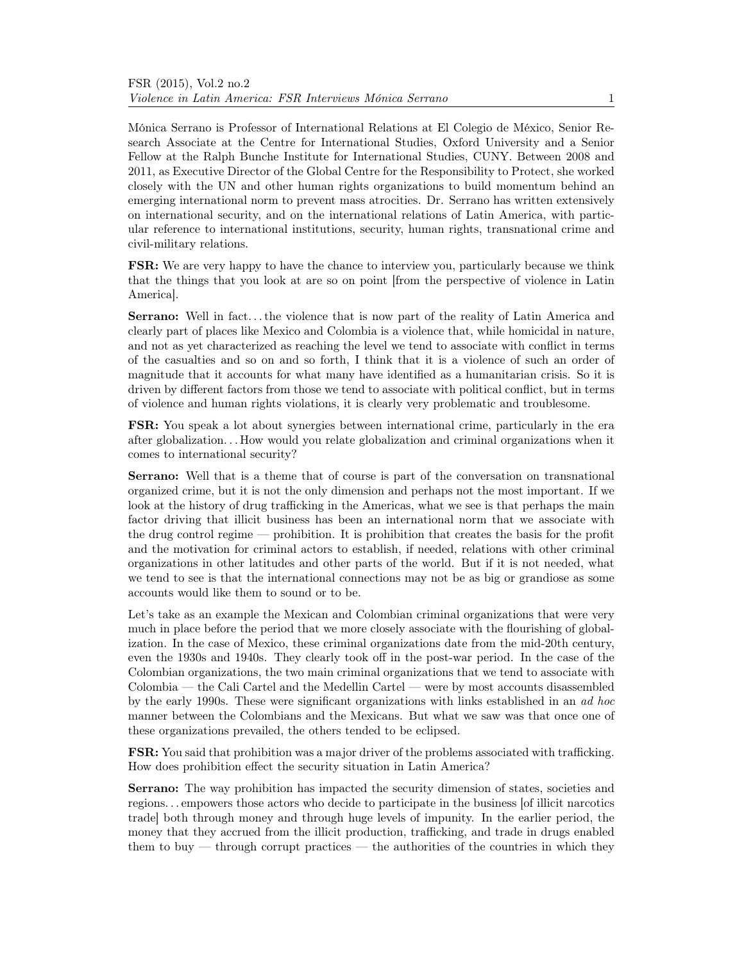Mónica Serrano is Professor of International Relations at El Colegio de México, Senior Research Associate at the Centre for International Studies, Oxford University and a Senior Fellow at the Ralph Bunche Institute for International Studies, CUNY. Between 2008 and 2011, as Executive Director of the Global Centre for the Responsibility to Protect, she worked closely with the UN and other human rights organizations to build momentum behind an emerging international norm to prevent mass atrocities. Dr. Serrano has written extensively on international security, and on the international relations of Latin America, with particular reference to international institutions, security, human rights, transnational crime and civil-military relations.

FSR: We are very happy to have the chance to interview you, particularly because we think that the things that you look at are so on point [from the perspective of violence in Latin America].

Serrano: Well in fact. . . the violence that is now part of the reality of Latin America and clearly part of places like Mexico and Colombia is a violence that, while homicidal in nature, and not as yet characterized as reaching the level we tend to associate with conflict in terms of the casualties and so on and so forth, I think that it is a violence of such an order of magnitude that it accounts for what many have identified as a humanitarian crisis. So it is driven by different factors from those we tend to associate with political conflict, but in terms of violence and human rights violations, it is clearly very problematic and troublesome.

FSR: You speak a lot about synergies between international crime, particularly in the era after globalization. . . How would you relate globalization and criminal organizations when it comes to international security?

Serrano: Well that is a theme that of course is part of the conversation on transnational organized crime, but it is not the only dimension and perhaps not the most important. If we look at the history of drug trafficking in the Americas, what we see is that perhaps the main factor driving that illicit business has been an international norm that we associate with the drug control regime — prohibition. It is prohibition that creates the basis for the profit and the motivation for criminal actors to establish, if needed, relations with other criminal organizations in other latitudes and other parts of the world. But if it is not needed, what we tend to see is that the international connections may not be as big or grandiose as some accounts would like them to sound or to be.

Let's take as an example the Mexican and Colombian criminal organizations that were very much in place before the period that we more closely associate with the flourishing of globalization. In the case of Mexico, these criminal organizations date from the mid-20th century, even the 1930s and 1940s. They clearly took off in the post-war period. In the case of the Colombian organizations, the two main criminal organizations that we tend to associate with Colombia — the Cali Cartel and the Medellin Cartel — were by most accounts disassembled by the early 1990s. These were significant organizations with links established in an ad hoc manner between the Colombians and the Mexicans. But what we saw was that once one of these organizations prevailed, the others tended to be eclipsed.

FSR: You said that prohibition was a major driver of the problems associated with trafficking. How does prohibition effect the security situation in Latin America?

Serrano: The way prohibition has impacted the security dimension of states, societies and regions. . . empowers those actors who decide to participate in the business [of illicit narcotics trade] both through money and through huge levels of impunity. In the earlier period, the money that they accrued from the illicit production, trafficking, and trade in drugs enabled them to buy — through corrupt practices — the authorities of the countries in which they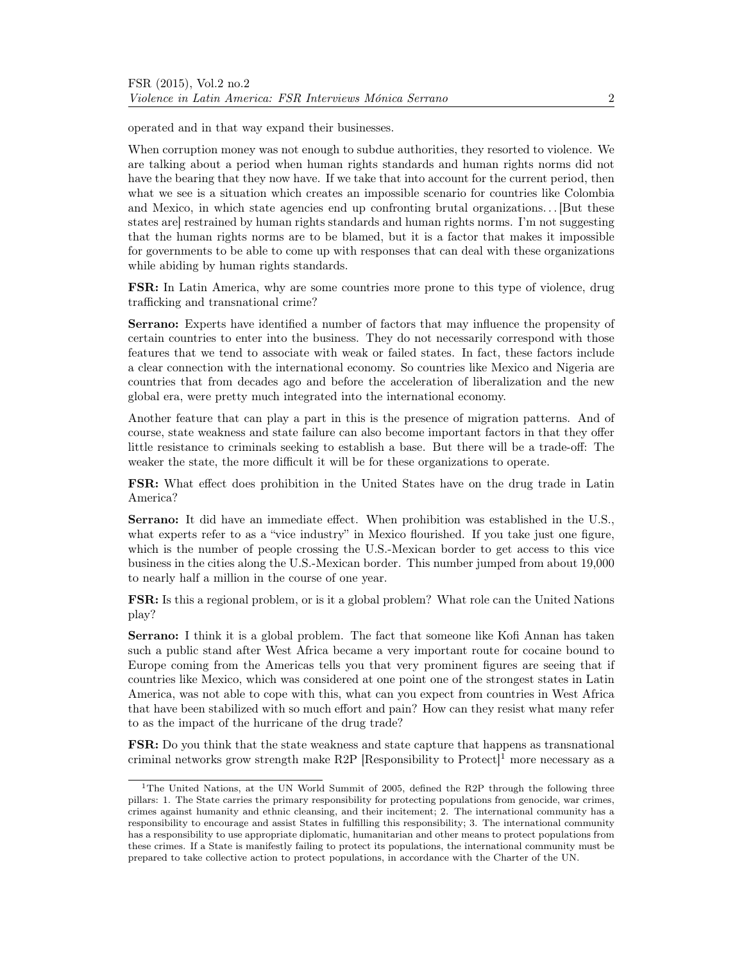operated and in that way expand their businesses.

When corruption money was not enough to subdue authorities, they resorted to violence. We are talking about a period when human rights standards and human rights norms did not have the bearing that they now have. If we take that into account for the current period, then what we see is a situation which creates an impossible scenario for countries like Colombia and Mexico, in which state agencies end up confronting brutal organizations. . . [But these states are] restrained by human rights standards and human rights norms. I'm not suggesting that the human rights norms are to be blamed, but it is a factor that makes it impossible for governments to be able to come up with responses that can deal with these organizations while abiding by human rights standards.

FSR: In Latin America, why are some countries more prone to this type of violence, drug trafficking and transnational crime?

Serrano: Experts have identified a number of factors that may influence the propensity of certain countries to enter into the business. They do not necessarily correspond with those features that we tend to associate with weak or failed states. In fact, these factors include a clear connection with the international economy. So countries like Mexico and Nigeria are countries that from decades ago and before the acceleration of liberalization and the new global era, were pretty much integrated into the international economy.

Another feature that can play a part in this is the presence of migration patterns. And of course, state weakness and state failure can also become important factors in that they offer little resistance to criminals seeking to establish a base. But there will be a trade-off: The weaker the state, the more difficult it will be for these organizations to operate.

FSR: What effect does prohibition in the United States have on the drug trade in Latin America?

Serrano: It did have an immediate effect. When prohibition was established in the U.S., what experts refer to as a "vice industry" in Mexico flourished. If you take just one figure, which is the number of people crossing the U.S.-Mexican border to get access to this vice business in the cities along the U.S.-Mexican border. This number jumped from about 19,000 to nearly half a million in the course of one year.

FSR: Is this a regional problem, or is it a global problem? What role can the United Nations play?

Serrano: I think it is a global problem. The fact that someone like Kofi Annan has taken such a public stand after West Africa became a very important route for cocaine bound to Europe coming from the Americas tells you that very prominent figures are seeing that if countries like Mexico, which was considered at one point one of the strongest states in Latin America, was not able to cope with this, what can you expect from countries in West Africa that have been stabilized with so much effort and pain? How can they resist what many refer to as the impact of the hurricane of the drug trade?

FSR: Do you think that the state weakness and state capture that happens as transnational criminal networks grow strength make R2P [Responsibility to Protect]<sup>1</sup> more necessary as a

<sup>&</sup>lt;sup>1</sup>The United Nations, at the UN World Summit of 2005, defined the R2P through the following three pillars: 1. The State carries the primary responsibility for protecting populations from genocide, war crimes, crimes against humanity and ethnic cleansing, and their incitement; 2. The international community has a responsibility to encourage and assist States in fulfilling this responsibility; 3. The international community has a responsibility to use appropriate diplomatic, humanitarian and other means to protect populations from these crimes. If a State is manifestly failing to protect its populations, the international community must be prepared to take collective action to protect populations, in accordance with the Charter of the UN.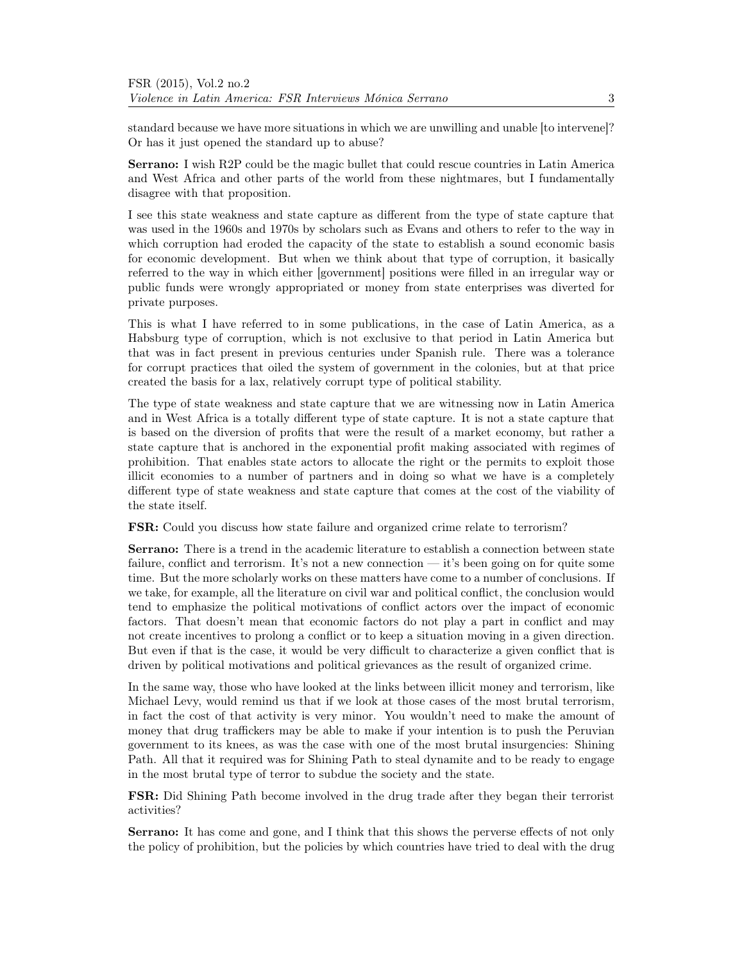standard because we have more situations in which we are unwilling and unable [to intervene]? Or has it just opened the standard up to abuse?

Serrano: I wish R2P could be the magic bullet that could rescue countries in Latin America and West Africa and other parts of the world from these nightmares, but I fundamentally disagree with that proposition.

I see this state weakness and state capture as different from the type of state capture that was used in the 1960s and 1970s by scholars such as Evans and others to refer to the way in which corruption had eroded the capacity of the state to establish a sound economic basis for economic development. But when we think about that type of corruption, it basically referred to the way in which either [government] positions were filled in an irregular way or public funds were wrongly appropriated or money from state enterprises was diverted for private purposes.

This is what I have referred to in some publications, in the case of Latin America, as a Habsburg type of corruption, which is not exclusive to that period in Latin America but that was in fact present in previous centuries under Spanish rule. There was a tolerance for corrupt practices that oiled the system of government in the colonies, but at that price created the basis for a lax, relatively corrupt type of political stability.

The type of state weakness and state capture that we are witnessing now in Latin America and in West Africa is a totally different type of state capture. It is not a state capture that is based on the diversion of profits that were the result of a market economy, but rather a state capture that is anchored in the exponential profit making associated with regimes of prohibition. That enables state actors to allocate the right or the permits to exploit those illicit economies to a number of partners and in doing so what we have is a completely different type of state weakness and state capture that comes at the cost of the viability of the state itself.

FSR: Could you discuss how state failure and organized crime relate to terrorism?

Serrano: There is a trend in the academic literature to establish a connection between state failure, conflict and terrorism. It's not a new connection — it's been going on for quite some time. But the more scholarly works on these matters have come to a number of conclusions. If we take, for example, all the literature on civil war and political conflict, the conclusion would tend to emphasize the political motivations of conflict actors over the impact of economic factors. That doesn't mean that economic factors do not play a part in conflict and may not create incentives to prolong a conflict or to keep a situation moving in a given direction. But even if that is the case, it would be very difficult to characterize a given conflict that is driven by political motivations and political grievances as the result of organized crime.

In the same way, those who have looked at the links between illicit money and terrorism, like Michael Levy, would remind us that if we look at those cases of the most brutal terrorism, in fact the cost of that activity is very minor. You wouldn't need to make the amount of money that drug traffickers may be able to make if your intention is to push the Peruvian government to its knees, as was the case with one of the most brutal insurgencies: Shining Path. All that it required was for Shining Path to steal dynamite and to be ready to engage in the most brutal type of terror to subdue the society and the state.

FSR: Did Shining Path become involved in the drug trade after they began their terrorist activities?

Serrano: It has come and gone, and I think that this shows the perverse effects of not only the policy of prohibition, but the policies by which countries have tried to deal with the drug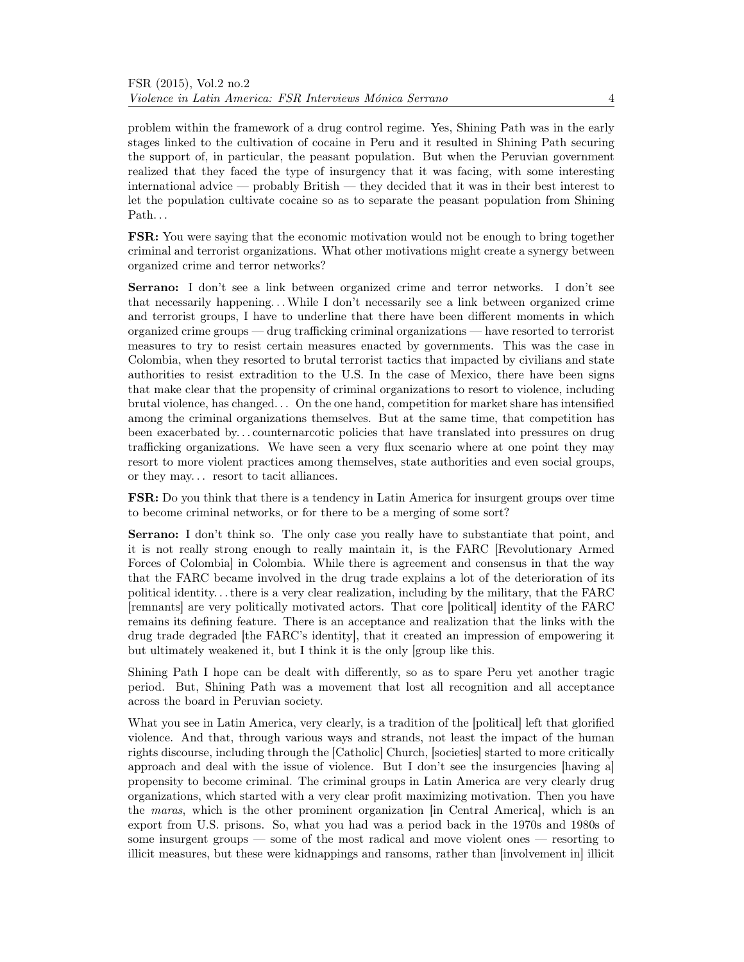problem within the framework of a drug control regime. Yes, Shining Path was in the early stages linked to the cultivation of cocaine in Peru and it resulted in Shining Path securing the support of, in particular, the peasant population. But when the Peruvian government realized that they faced the type of insurgency that it was facing, with some interesting international advice — probably British — they decided that it was in their best interest to let the population cultivate cocaine so as to separate the peasant population from Shining Path...

FSR: You were saying that the economic motivation would not be enough to bring together criminal and terrorist organizations. What other motivations might create a synergy between organized crime and terror networks?

Serrano: I don't see a link between organized crime and terror networks. I don't see that necessarily happening. . .While I don't necessarily see a link between organized crime and terrorist groups, I have to underline that there have been different moments in which organized crime groups — drug trafficking criminal organizations — have resorted to terrorist measures to try to resist certain measures enacted by governments. This was the case in Colombia, when they resorted to brutal terrorist tactics that impacted by civilians and state authorities to resist extradition to the U.S. In the case of Mexico, there have been signs that make clear that the propensity of criminal organizations to resort to violence, including brutal violence, has changed. . . On the one hand, competition for market share has intensified among the criminal organizations themselves. But at the same time, that competition has been exacerbated by. . . counternarcotic policies that have translated into pressures on drug trafficking organizations. We have seen a very flux scenario where at one point they may resort to more violent practices among themselves, state authorities and even social groups, or they may. . . resort to tacit alliances.

FSR: Do you think that there is a tendency in Latin America for insurgent groups over time to become criminal networks, or for there to be a merging of some sort?

Serrano: I don't think so. The only case you really have to substantiate that point, and it is not really strong enough to really maintain it, is the FARC [Revolutionary Armed Forces of Colombia] in Colombia. While there is agreement and consensus in that the way that the FARC became involved in the drug trade explains a lot of the deterioration of its political identity. . . there is a very clear realization, including by the military, that the FARC [remnants] are very politically motivated actors. That core [political] identity of the FARC remains its defining feature. There is an acceptance and realization that the links with the drug trade degraded [the FARC's identity], that it created an impression of empowering it but ultimately weakened it, but I think it is the only [group like this.

Shining Path I hope can be dealt with differently, so as to spare Peru yet another tragic period. But, Shining Path was a movement that lost all recognition and all acceptance across the board in Peruvian society.

What you see in Latin America, very clearly, is a tradition of the [political] left that glorified violence. And that, through various ways and strands, not least the impact of the human rights discourse, including through the [Catholic] Church, [societies] started to more critically approach and deal with the issue of violence. But I don't see the insurgencies [having a] propensity to become criminal. The criminal groups in Latin America are very clearly drug organizations, which started with a very clear profit maximizing motivation. Then you have the maras, which is the other prominent organization [in Central America], which is an export from U.S. prisons. So, what you had was a period back in the 1970s and 1980s of some insurgent groups — some of the most radical and move violent ones — resorting to illicit measures, but these were kidnappings and ransoms, rather than [involvement in] illicit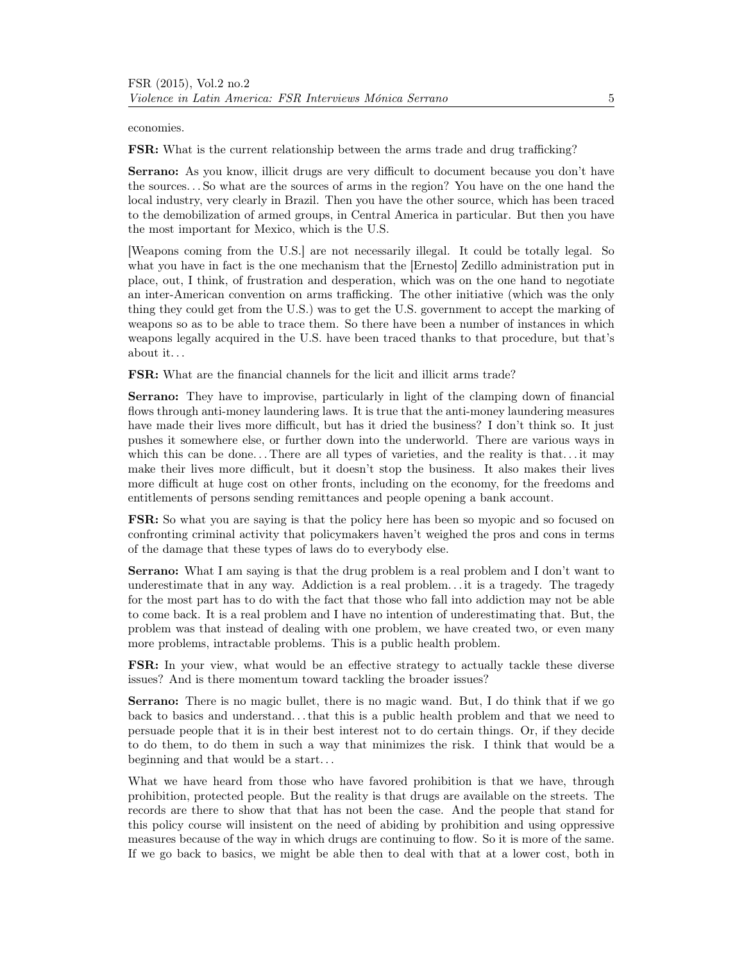economies.

FSR: What is the current relationship between the arms trade and drug trafficking?

Serrano: As you know, illicit drugs are very difficult to document because you don't have the sources. . . So what are the sources of arms in the region? You have on the one hand the local industry, very clearly in Brazil. Then you have the other source, which has been traced to the demobilization of armed groups, in Central America in particular. But then you have the most important for Mexico, which is the U.S.

[Weapons coming from the U.S.] are not necessarily illegal. It could be totally legal. So what you have in fact is the one mechanism that the [Ernesto] Zedillo administration put in place, out, I think, of frustration and desperation, which was on the one hand to negotiate an inter-American convention on arms trafficking. The other initiative (which was the only thing they could get from the U.S.) was to get the U.S. government to accept the marking of weapons so as to be able to trace them. So there have been a number of instances in which weapons legally acquired in the U.S. have been traced thanks to that procedure, but that's about it. . .

FSR: What are the financial channels for the licit and illicit arms trade?

Serrano: They have to improvise, particularly in light of the clamping down of financial flows through anti-money laundering laws. It is true that the anti-money laundering measures have made their lives more difficult, but has it dried the business? I don't think so. It just pushes it somewhere else, or further down into the underworld. There are various ways in which this can be done... There are all types of varieties, and the reality is that... it may make their lives more difficult, but it doesn't stop the business. It also makes their lives more difficult at huge cost on other fronts, including on the economy, for the freedoms and entitlements of persons sending remittances and people opening a bank account.

FSR: So what you are saying is that the policy here has been so myopic and so focused on confronting criminal activity that policymakers haven't weighed the pros and cons in terms of the damage that these types of laws do to everybody else.

Serrano: What I am saying is that the drug problem is a real problem and I don't want to underestimate that in any way. Addiction is a real problem. . . it is a tragedy. The tragedy for the most part has to do with the fact that those who fall into addiction may not be able to come back. It is a real problem and I have no intention of underestimating that. But, the problem was that instead of dealing with one problem, we have created two, or even many more problems, intractable problems. This is a public health problem.

FSR: In your view, what would be an effective strategy to actually tackle these diverse issues? And is there momentum toward tackling the broader issues?

Serrano: There is no magic bullet, there is no magic wand. But, I do think that if we go back to basics and understand. . . that this is a public health problem and that we need to persuade people that it is in their best interest not to do certain things. Or, if they decide to do them, to do them in such a way that minimizes the risk. I think that would be a beginning and that would be a start. . .

What we have heard from those who have favored prohibition is that we have, through prohibition, protected people. But the reality is that drugs are available on the streets. The records are there to show that that has not been the case. And the people that stand for this policy course will insistent on the need of abiding by prohibition and using oppressive measures because of the way in which drugs are continuing to flow. So it is more of the same. If we go back to basics, we might be able then to deal with that at a lower cost, both in